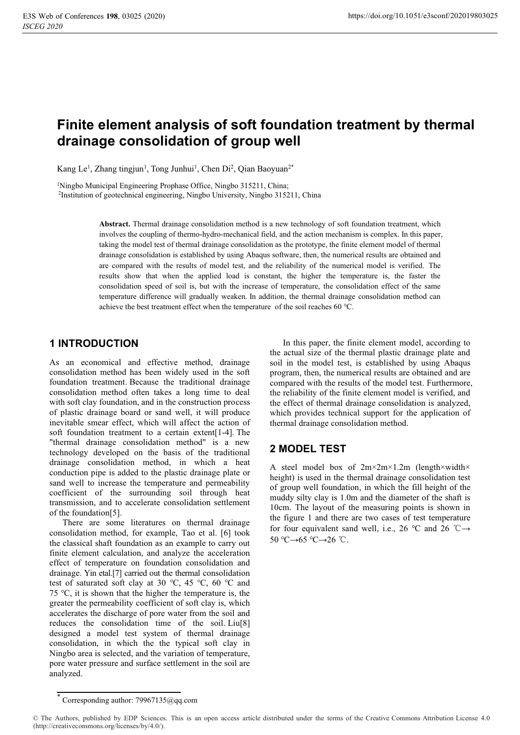# **Finite element analysis of soft foundation treatment by thermal drainage consolidation of group well**

Kang Le<sup>1</sup>, Zhang tingjun<sup>1</sup>, Tong Junhui<sup>1</sup>, Chen Di<sup>2</sup>, Qian Baoyuan<sup>2\*</sup>

<sup>1</sup>Ningbo Municipal Engineering Prophase Office, Ningbo 315211, China;

2Institution of geotechnical engineering, Ningbo University, Ningbo 315211, China

**Abstract.** Thermal drainage consolidation method is a new technology of soft foundation treatment, which involves the coupling of thermo-hydro-mechanical field, and the action mechanism is complex. In this paper, taking the model test of thermal drainage consolidation as the prototype, the finite element model of thermal drainage consolidation is established by using Abaqus software, then, the numerical results are obtained and are compared with the results of model test, and the reliability of the numerical model is verified. The results show that when the applied load is constant, the higher the temperature is, the faster the consolidation speed of soil is, but with the increase of temperature, the consolidation effect of the same temperature difference will gradually weaken. In addition, the thermal drainage consolidation method can achieve the best treatment effect when the temperature of the soil reaches 60 ℃.

### **1 INTRODUCTION**

As an economical and effective method, drainage consolidation method has been widely used in the soft foundation treatment. Because the traditional drainage consolidation method often takes a long time to deal with soft clay foundation, and in the construction process of plastic drainage board or sand well, it will produce inevitable smear effect, which will affect the action of soft foundation treatment to a certain extent[1-4]. The "thermal drainage consolidation method" is a new technology developed on the basis of the traditional drainage consolidation method, in which a heat conduction pipe is added to the plastic drainage plate or sand well to increase the temperature and permeability coefficient of the surrounding soil through heat transmission, and to accelerate consolidation settlement of the foundation[5].

There are some literatures on thermal drainage consolidation method, for example, Tao et al. [6] took the classical shaft foundation as an example to carry out finite element calculation, and analyze the acceleration effect of temperature on foundation consolidation and drainage. Yin etal.[7] carried out the thermal consolidation test of saturated soft clay at 30 ℃, 45 ℃, 60 ℃ and 75 ℃, it is shown that the higher the temperature is, the greater the permeability coefficient of soft clay is, which accelerates the discharge of pore water from the soil and reduces the consolidation time of the soil. Liu[8] designed a model test system of thermal drainage consolidation, in which the the typical soft clay in Ningbo area is selected, and the variation of temperature, pore water pressure and surface settlement in the soil are analyzed.

In this paper, the finite element model, according to the actual size of the thermal plastic drainage plate and soil in the model test, is established by using Abaqus program, then, the numerical results are obtained and are compared with the results of the model test. Furthermore, the reliability of the finite element model is verified, and the effect of thermal drainage consolidation is analyzed, which provides technical support for the application of thermal drainage consolidation method.

# **2 MODEL TEST**

A steel model box of 2m×2m×1.2m (length×width× height) is used in the thermal drainage consolidation test of group well foundation, in which the fill height of the muddy silty clay is 1.0m and the diameter of the shaft is 10cm. The layout of the measuring points is shown in the figure 1 and there are two cases of test temperature for four equivalent sand well, i.e., 26 °C and 26 °C  $\rightarrow$  $50 \text{ °C} \rightarrow 65 \text{ °C} \rightarrow 26 \text{ °C}$ .

<sup>\*</sup> Corresponding author: 79967135@qq.com

<sup>©</sup> The Authors, published by EDP Sciences. This is an open access article distributed under the terms of the Creative Commons Attribution License 4.0 (http://creativecommons.org/licenses/by/4.0/).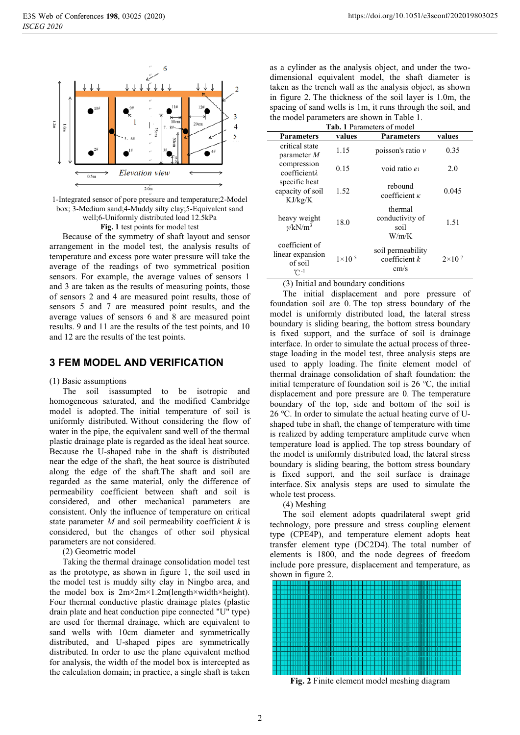

1-Integrated sensor of pore pressure and temperature;2-Model box; 3-Medium sand;4-Muddy silty clay;5-Equivalent sand well;6-Uniformly distributed load 12.5kPa **Fig. 1** test points for model test

Because of the symmetry of shaft layout and sensor arrangement in the model test, the analysis results of temperature and excess pore water pressure will take the average of the readings of two symmetrical position sensors. For example, the average values of sensors 1 and 3 are taken as the results of measuring points, those of sensors 2 and 4 are measured point results, those of sensors 5 and 7 are measured point results, and the average values of sensors 6 and 8 are measured point results. 9 and 11 are the results of the test points, and 10 and 12 are the results of the test points.

### **3 FEM MODEL AND VERIFICATION**

#### (1) Basic assumptions

The soil isassumpted to be isotropic and homogeneous saturated, and the modified Cambridge model is adopted. The initial temperature of soil is uniformly distributed. Without considering the flow of water in the pipe, the equivalent sand well of the thermal plastic drainage plate is regarded as the ideal heat source. Because the U-shaped tube in the shaft is distributed near the edge of the shaft, the heat source is distributed along the edge of the shaft.The shaft and soil are regarded as the same material, only the difference of permeability coefficient between shaft and soil is considered, and other mechanical parameters are consistent. Only the influence of temperature on critical state parameter *M* and soil permeability coefficient *k* is considered, but the changes of other soil physical parameters are not considered.

(2) Geometric model

Taking the thermal drainage consolidation model test as the prototype, as shown in figure 1, the soil used in the model test is muddy silty clay in Ningbo area, and the model box is 2m×2m×1.2m(length×width×height). Four thermal conductive plastic drainage plates (plastic drain plate and heat conduction pipe connected "U" type) are used for thermal drainage, which are equivalent to sand wells with 10cm diameter and symmetrically distributed, and U-shaped pipes are symmetrically distributed. In order to use the plane equivalent method for analysis, the width of the model box is intercepted as the calculation domain; in practice, a single shaft is taken

as a cylinder as the analysis object, and under the twodimensional equivalent model, the shaft diameter is taken as the trench wall as the analysis object, as shown in figure 2. The thickness of the soil layer is 1.0m, the spacing of sand wells is 1m, it runs through the soil, and the model parameters are shown in Table 1.

**Tab. 1** Parameters of model

| <b>Parameters</b>                                      | values             | <b>Parameters</b>                            | values             |
|--------------------------------------------------------|--------------------|----------------------------------------------|--------------------|
| critical state<br>parameter $M$                        | 1.15               | poisson's ratio $\nu$                        | 0.35               |
| compression<br>coefficientl                            | 0.15               | void ratio e                                 | 2.0                |
| specific heat<br>capacity of soil<br>KJ/kg/K           | 1.52               | rebound<br>coefficient $\kappa$              | 0.045              |
| heavy weight<br>$\nu/kN/m^3$                           | 18.0               | thermal<br>conductivity of<br>soil<br>W/m/K  | 1.51               |
| coefficient of<br>linear expansion<br>of soil<br>′Ր -1 | $1 \times 10^{-5}$ | soil permeability<br>coefficient $k$<br>cm/s | $2 \times 10^{-7}$ |

(3) Initial and boundary conditions

The initial displacement and pore pressure of foundation soil are 0. The top stress boundary of the model is uniformly distributed load, the lateral stress boundary is sliding bearing, the bottom stress boundary is fixed support, and the surface of soil is drainage interface. In order to simulate the actual process of threestage loading in the model test, three analysis steps are used to apply loading. The finite element model of thermal drainage consolidation of shaft foundation: the initial temperature of foundation soil is 26 ℃, the initial displacement and pore pressure are 0. The temperature boundary of the top, side and bottom of the soil is 26 ℃. In order to simulate the actual heating curve of Ushaped tube in shaft, the change of temperature with time is realized by adding temperature amplitude curve when temperature load is applied. The top stress boundary of the model is uniformly distributed load, the lateral stress boundary is sliding bearing, the bottom stress boundary is fixed support, and the soil surface is drainage interface. Six analysis steps are used to simulate the whole test process.

#### (4) Meshing

The soil element adopts quadrilateral swept grid technology, pore pressure and stress coupling element type (CPE4P), and temperature element adopts heat transfer element type (DC2D4). The total number of elements is 1800, and the node degrees of freedom include pore pressure, displacement and temperature, as shown in figure 2.



**Fig. 2** Finite element model meshing diagram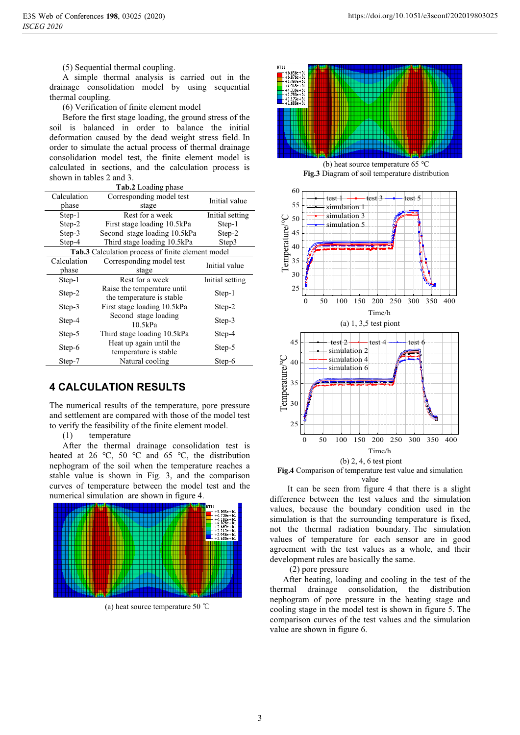(5) Sequential thermal coupling.

A simple thermal analysis is carried out in the drainage consolidation model by using sequential thermal coupling.

(6) Verification of finite element model

Before the first stage loading, the ground stress of the soil is balanced in order to balance the initial deformation caused by the dead weight stress field. In order to simulate the actual process of thermal drainage consolidation model test, the finite element model is calculated in sections, and the calculation process is shown in tables 2 and 3.

| <b>Tab.2</b> Loading phase                        |                                                          |                 |  |  |
|---------------------------------------------------|----------------------------------------------------------|-----------------|--|--|
| Calculation<br>phase                              | Corresponding model test<br>stage                        | Initial value   |  |  |
| Step-1                                            | Rest for a week                                          | Initial setting |  |  |
| Step-2                                            | First stage loading 10.5kPa                              | Step-1          |  |  |
| Step-3                                            | Second stage loading 10.5kPa                             | Step-2          |  |  |
| Step-4                                            | Third stage loading 10.5kPa                              | Step3           |  |  |
| Tab.3 Calculation process of finite element model |                                                          |                 |  |  |
| Calculation                                       | Corresponding model test                                 | Initial value   |  |  |
| phase                                             | stage                                                    |                 |  |  |
| Step-1                                            | Rest for a week                                          | Initial setting |  |  |
| Step-2                                            | Raise the temperature until<br>the temperature is stable | Step-1          |  |  |
| Step-3                                            | First stage loading 10.5kPa                              | Step-2          |  |  |
| Step-4                                            | Second stage loading<br>10.5kPa                          | Step-3          |  |  |
| Step-5                                            | Third stage loading 10.5kPa                              | Step-4          |  |  |
| Step-6                                            | Heat up again until the<br>temperature is stable         | Step-5          |  |  |
| Step-7                                            | Natural cooling                                          | Step-6          |  |  |

## **4 CALCULATION RESULTS**

The numerical results of the temperature, pore pressure and settlement are compared with those of the model test to verify the feasibility of the finite element model.

(1) temperature

After the thermal drainage consolidation test is heated at 26 ℃, 50 ℃ and 65 ℃, the distribution nephogram of the soil when the temperature reaches a stable value is shown in Fig. 3, and the comparison curves of temperature between the model test and the numerical simulation are shown in figure 4.



(a) heat source temperature 50  $\degree$ C



(b) heat source temperature 65 ℃ **Fig.3** Diagram of soil temperature distribution



**Fig.4** Comparison of temperature test value and simulation value

It can be seen from figure 4 that there is a slight difference between the test values and the simulation values, because the boundary condition used in the simulation is that the surrounding temperature is fixed, not the thermal radiation boundary. The simulation values of temperature for each sensor are in good agreement with the test values as a whole, and their development rules are basically the same.

(2) pore pressure

After heating, loading and cooling in the test of the thermal drainage consolidation, the distribution nephogram of pore pressure in the heating stage and cooling stage in the model test is shown in figure 5. The comparison curves of the test values and the simulation value are shown in figure 6.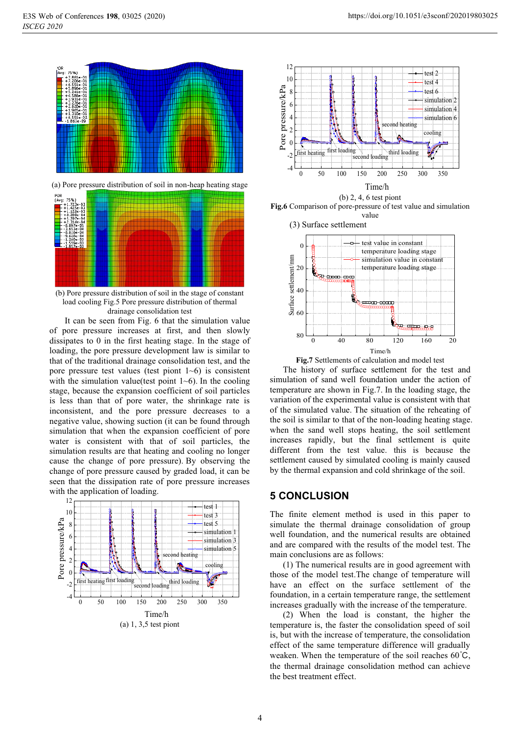

(a) Pore pressure distribution of soil in non-heap heating stage



(b) Pore pressure distribution of soil in the stage of constant load cooling Fig.5 Pore pressure distribution of thermal drainage consolidation test

It can be seen from Fig. 6 that the simulation value of pore pressure increases at first, and then slowly dissipates to 0 in the first heating stage. In the stage of loading, the pore pressure development law is similar to that of the traditional drainage consolidation test, and the pore pressure test values (test piont  $1~6$ ) is consistent with the simulation value(test point  $1~6$ ). In the cooling stage, because the expansion coefficient of soil particles is less than that of pore water, the shrinkage rate is inconsistent, and the pore pressure decreases to a negative value, showing suction (it can be found through simulation that when the expansion coefficient of pore water is consistent with that of soil particles, the simulation results are that heating and cooling no longer cause the change of pore pressure). By observing the change of pore pressure caused by graded load, it can be seen that the dissipation rate of pore pressure increases with the application of loading.





(b) 2, 4, 6 test piont **Fig.6** Comparison of pore-pressure of test value and simulation value





The history of surface settlement for the test and simulation of sand well foundation under the action of temperature are shown in Fig.7. In the loading stage, the variation of the experimental value is consistent with that of the simulated value. The situation of the reheating of the soil is similar to that of the non-loading heating stage. when the sand well stops heating, the soil settlement increases rapidly, but the final settlement is quite different from the test value. this is because the settlement caused by simulated cooling is mainly caused by the thermal expansion and cold shrinkage of the soil.

### **5 CONCLUSION**

The finite element method is used in this paper to simulate the thermal drainage consolidation of group well foundation, and the numerical results are obtained and are compared with the results of the model test. The main conclusions are as follows:

(1) The numerical results are in good agreement with those of the model test.The change of temperature will have an effect on the surface settlement of the foundation, in a certain temperature range, the settlement increases gradually with the increase of the temperature.

(2) When the load is constant, the higher the temperature is, the faster the consolidation speed of soil is, but with the increase of temperature, the consolidation effect of the same temperature difference will gradually weaken. When the temperature of the soil reaches  $60^{\circ}$ C, the thermal drainage consolidation method can achieve the best treatment effect.